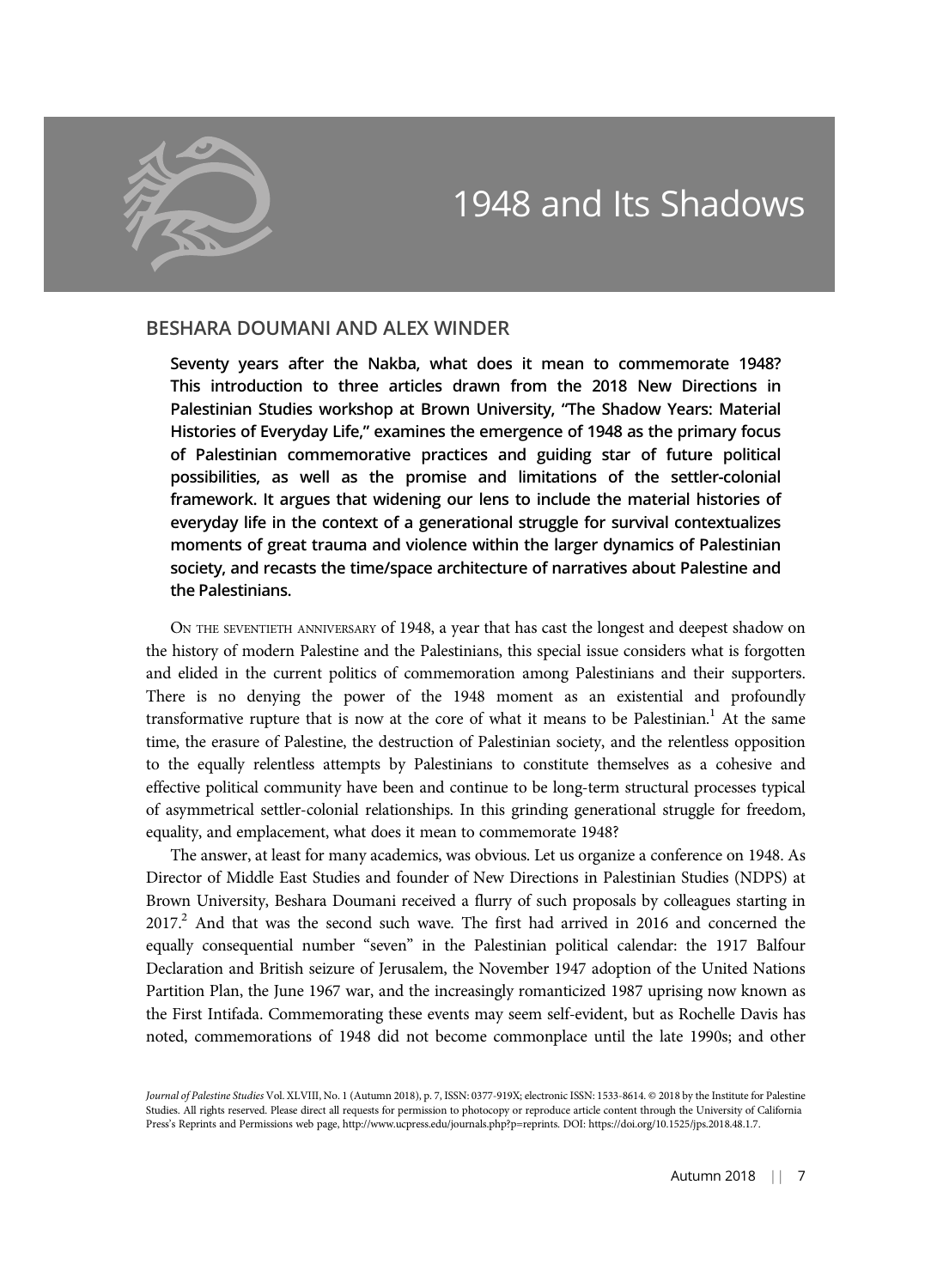## 1948 and Its Shadows



## BESHARA DOUMANI AND ALEX WINDER

Seventy years after the Nakba, what does it mean to commemorate 1948? This introduction to three articles drawn from the 2018 New Directions in Palestinian Studies workshop at Brown University, "The Shadow Years: Material Histories of Everyday Life," examines the emergence of 1948 as the primary focus of Palestinian commemorative practices and guiding star of future political possibilities, as well as the promise and limitations of the settler-colonial framework. It argues that widening our lens to include the material histories of everyday life in the context of a generational struggle for survival contextualizes moments of great trauma and violence within the larger dynamics of Palestinian society, and recasts the time/space architecture of narratives about Palestine and the Palestinians.

ON THE SEVENTIETH ANNIVERSARY of 1948, a year that has cast the longest and deepest shadow on the history of modern Palestine and the Palestinians, this special issue considers what is forgotten and elided in the current politics of commemoration among Palestinians and their supporters. There is no denying the power of the 1948 moment as an existential and profoundly transformative rupture that is now at the core of what it means to be Palestinian.<sup>1</sup> At the same time, the erasure of Palestine, the destruction of Palestinian society, and the relentless opposition to the equally relentless attempts by Palestinians to constitute themselves as a cohesive and effective political community have been and continue to be long-term structural processes typical of asymmetrical settler-colonial relationships. In this grinding generational struggle for freedom, equality, and emplacement, what does it mean to commemorate 1948?

The answer, at least for many academics, was obvious. Let us organize a conference on 1948. As Director of Middle East Studies and founder of New Directions in Palestinian Studies (NDPS) at Brown University, Beshara Doumani received a flurry of such proposals by colleagues starting in  $2017<sup>2</sup>$  And that was the second such wave. The first had arrived in 2016 and concerned the equally consequential number "seven" in the Palestinian political calendar: the 1917 Balfour Declaration and British seizure of Jerusalem, the November 1947 adoption of the United Nations Partition Plan, the June 1967 war, and the increasingly romanticized 1987 uprising now known as the First Intifada. Commemorating these events may seem self-evident, but as Rochelle Davis has noted, commemorations of 1948 did not become commonplace until the late 1990s; and other

Journal of Palestine Studies Vol. XLVIII, No. 1 (Autumn 2018), p. 7, ISSN: 0377-919X; electronic ISSN: 1533-8614. © 2018 by the Institute for Palestine Studies. All rights reserved. Please direct all requests for permission to photocopy or reproduce article content through the University of California Press's Reprints and Permissions web page, http://www.ucpress.edu/journals.php?p=reprints. DOI: https://doi.org/10.1525/jps.2018.48.1.7.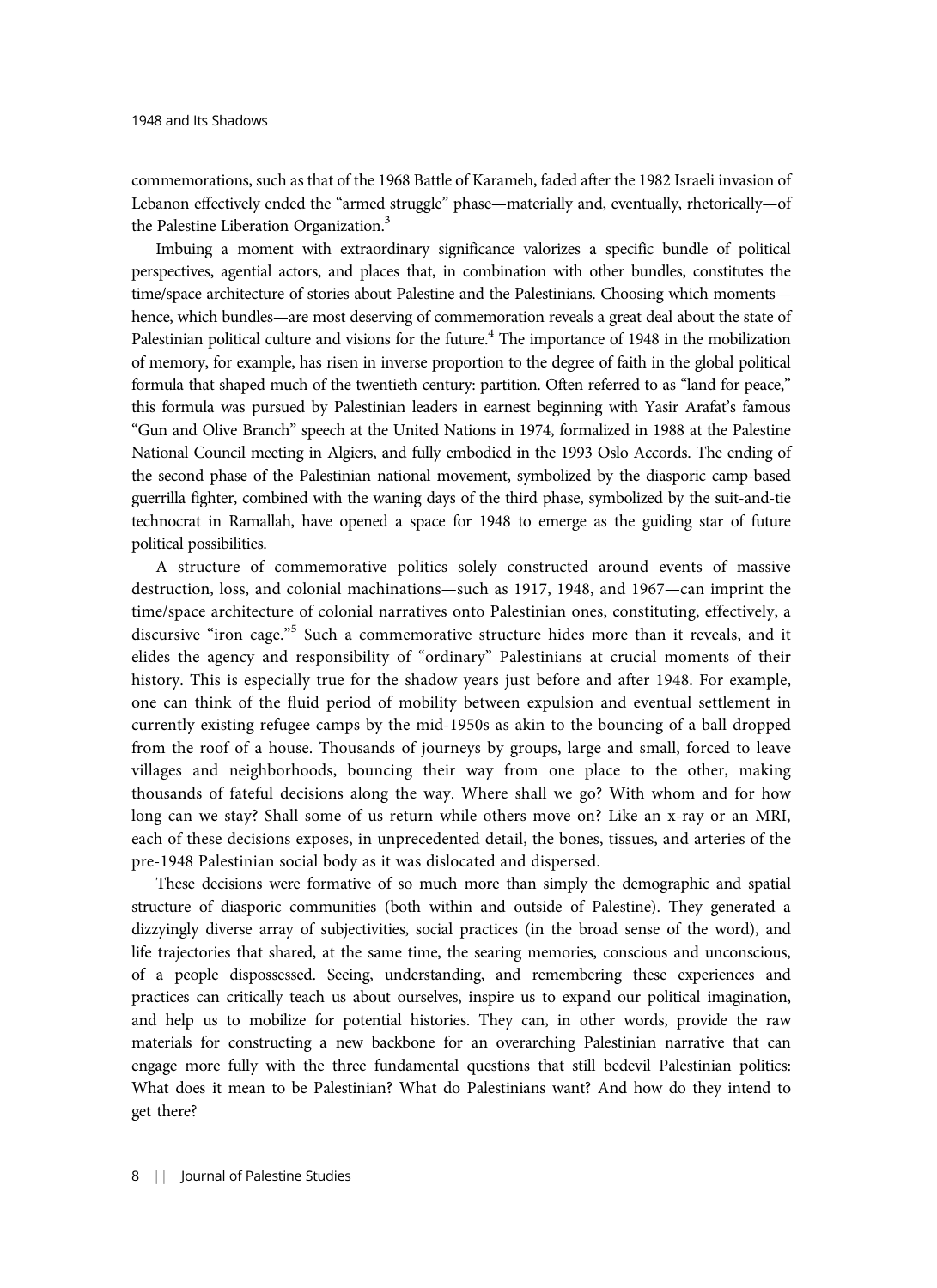commemorations, such as that of the 1968 Battle of Karameh, faded after the 1982 Israeli invasion of Lebanon effectively ended the "armed struggle" phase—materially and, eventually, rhetorically—of the Palestine Liberation Organization.<sup>3</sup>

Imbuing a moment with extraordinary significance valorizes a specific bundle of political perspectives, agential actors, and places that, in combination with other bundles, constitutes the time/space architecture of stories about Palestine and the Palestinians. Choosing which moments hence, which bundles—are most deserving of commemoration reveals a great deal about the state of Palestinian political culture and visions for the future.<sup>4</sup> The importance of 1948 in the mobilization of memory, for example, has risen in inverse proportion to the degree of faith in the global political formula that shaped much of the twentieth century: partition. Often referred to as "land for peace," this formula was pursued by Palestinian leaders in earnest beginning with Yasir Arafat's famous "Gun and Olive Branch" speech at the United Nations in 1974, formalized in 1988 at the Palestine National Council meeting in Algiers, and fully embodied in the 1993 Oslo Accords. The ending of the second phase of the Palestinian national movement, symbolized by the diasporic camp-based guerrilla fighter, combined with the waning days of the third phase, symbolized by the suit-and-tie technocrat in Ramallah, have opened a space for 1948 to emerge as the guiding star of future political possibilities.

A structure of commemorative politics solely constructed around events of massive destruction, loss, and colonial machinations—such as 1917, 1948, and 1967—can imprint the time/space architecture of colonial narratives onto Palestinian ones, constituting, effectively, a discursive "iron cage." <sup>5</sup> Such a commemorative structure hides more than it reveals, and it elides the agency and responsibility of "ordinary" Palestinians at crucial moments of their history. This is especially true for the shadow years just before and after 1948. For example, one can think of the fluid period of mobility between expulsion and eventual settlement in currently existing refugee camps by the mid-1950s as akin to the bouncing of a ball dropped from the roof of a house. Thousands of journeys by groups, large and small, forced to leave villages and neighborhoods, bouncing their way from one place to the other, making thousands of fateful decisions along the way. Where shall we go? With whom and for how long can we stay? Shall some of us return while others move on? Like an x-ray or an MRI, each of these decisions exposes, in unprecedented detail, the bones, tissues, and arteries of the pre-1948 Palestinian social body as it was dislocated and dispersed.

These decisions were formative of so much more than simply the demographic and spatial structure of diasporic communities (both within and outside of Palestine). They generated a dizzyingly diverse array of subjectivities, social practices (in the broad sense of the word), and life trajectories that shared, at the same time, the searing memories, conscious and unconscious, of a people dispossessed. Seeing, understanding, and remembering these experiences and practices can critically teach us about ourselves, inspire us to expand our political imagination, and help us to mobilize for potential histories. They can, in other words, provide the raw materials for constructing a new backbone for an overarching Palestinian narrative that can engage more fully with the three fundamental questions that still bedevil Palestinian politics: What does it mean to be Palestinian? What do Palestinians want? And how do they intend to get there?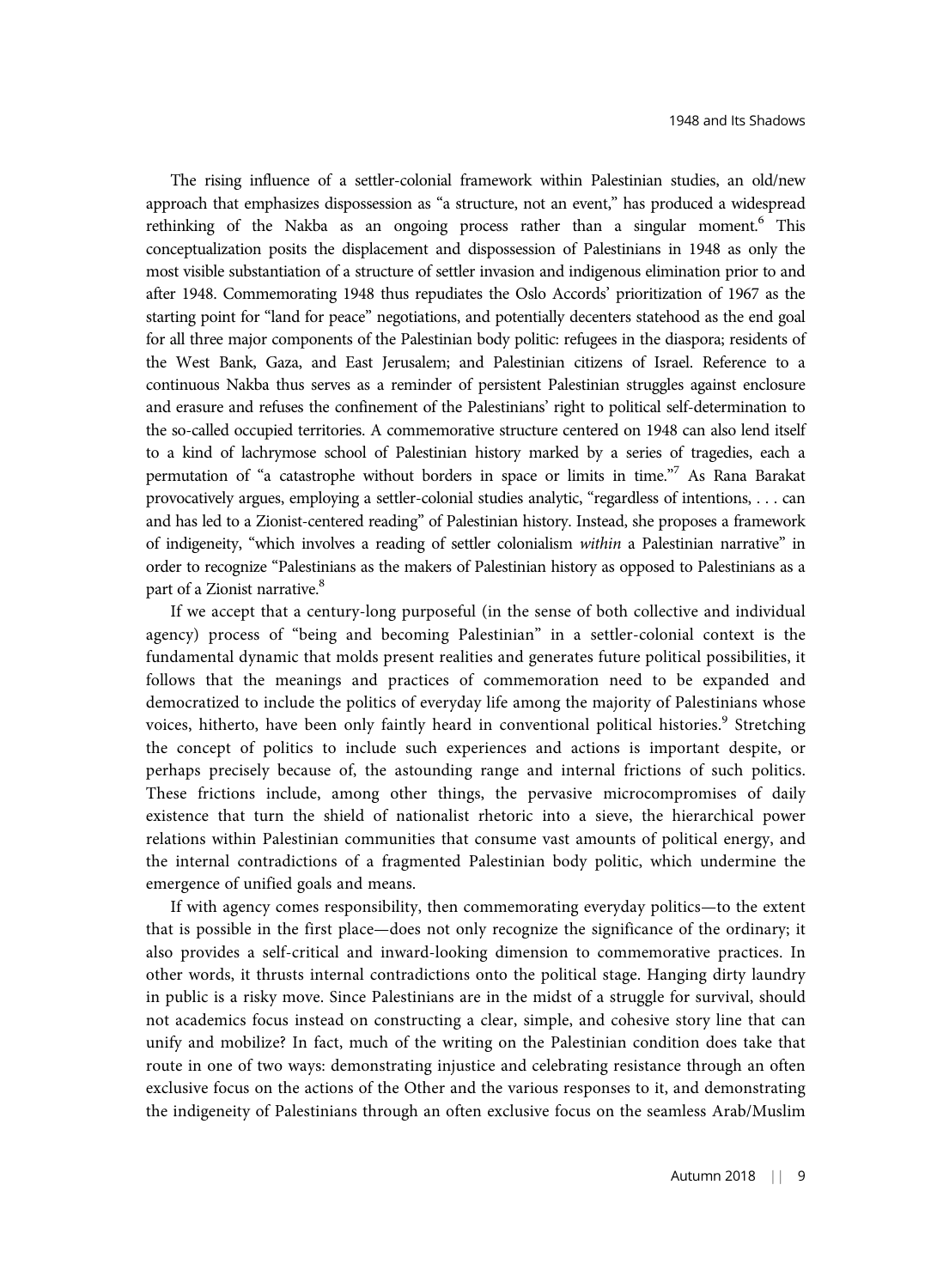The rising influence of a settler-colonial framework within Palestinian studies, an old/new approach that emphasizes dispossession as "a structure, not an event," has produced a widespread rethinking of the Nakba as an ongoing process rather than a singular moment.<sup>6</sup> This conceptualization posits the displacement and dispossession of Palestinians in 1948 as only the most visible substantiation of a structure of settler invasion and indigenous elimination prior to and after 1948. Commemorating 1948 thus repudiates the Oslo Accords' prioritization of 1967 as the starting point for "land for peace" negotiations, and potentially decenters statehood as the end goal for all three major components of the Palestinian body politic: refugees in the diaspora; residents of the West Bank, Gaza, and East Jerusalem; and Palestinian citizens of Israel. Reference to a continuous Nakba thus serves as a reminder of persistent Palestinian struggles against enclosure and erasure and refuses the confinement of the Palestinians' right to political self-determination to the so-called occupied territories. A commemorative structure centered on 1948 can also lend itself to a kind of lachrymose school of Palestinian history marked by a series of tragedies, each a permutation of "a catastrophe without borders in space or limits in time."<sup>7</sup> As Rana Barakat provocatively argues, employing a settler-colonial studies analytic, "regardless of intentions, . . . can and has led to a Zionist-centered reading" of Palestinian history. Instead, she proposes a framework of indigeneity, "which involves a reading of settler colonialism within a Palestinian narrative" in order to recognize "Palestinians as the makers of Palestinian history as opposed to Palestinians as a part of a Zionist narrative.<sup>8</sup>

If we accept that a century-long purposeful (in the sense of both collective and individual agency) process of "being and becoming Palestinian" in a settler-colonial context is the fundamental dynamic that molds present realities and generates future political possibilities, it follows that the meanings and practices of commemoration need to be expanded and democratized to include the politics of everyday life among the majority of Palestinians whose voices, hitherto, have been only faintly heard in conventional political histories.<sup>9</sup> Stretching the concept of politics to include such experiences and actions is important despite, or perhaps precisely because of, the astounding range and internal frictions of such politics. These frictions include, among other things, the pervasive microcompromises of daily existence that turn the shield of nationalist rhetoric into a sieve, the hierarchical power relations within Palestinian communities that consume vast amounts of political energy, and the internal contradictions of a fragmented Palestinian body politic, which undermine the emergence of unified goals and means.

If with agency comes responsibility, then commemorating everyday politics—to the extent that is possible in the first place—does not only recognize the significance of the ordinary; it also provides a self-critical and inward-looking dimension to commemorative practices. In other words, it thrusts internal contradictions onto the political stage. Hanging dirty laundry in public is a risky move. Since Palestinians are in the midst of a struggle for survival, should not academics focus instead on constructing a clear, simple, and cohesive story line that can unify and mobilize? In fact, much of the writing on the Palestinian condition does take that route in one of two ways: demonstrating injustice and celebrating resistance through an often exclusive focus on the actions of the Other and the various responses to it, and demonstrating the indigeneity of Palestinians through an often exclusive focus on the seamless Arab/Muslim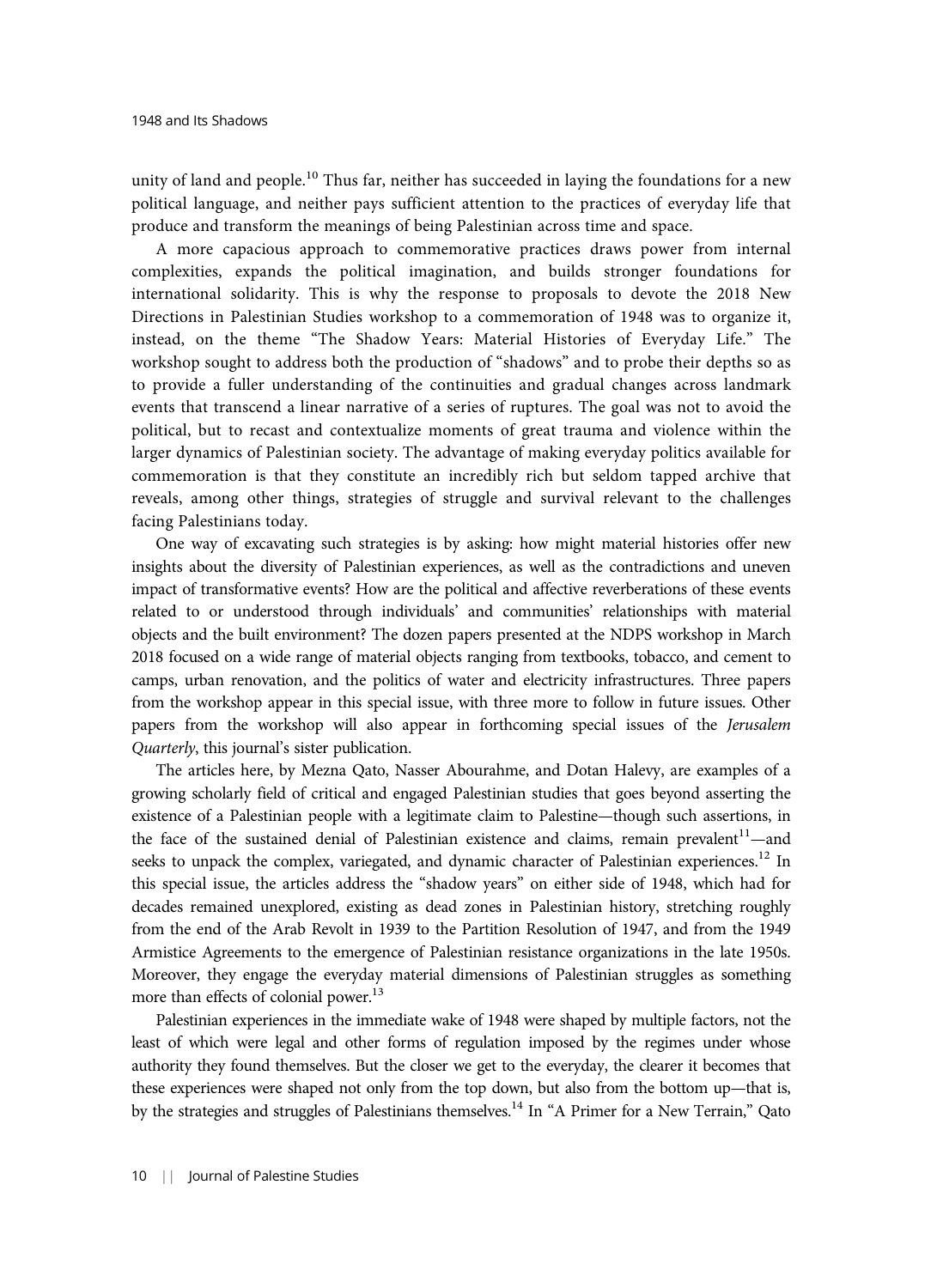unity of land and people.<sup>10</sup> Thus far, neither has succeeded in laying the foundations for a new political language, and neither pays sufficient attention to the practices of everyday life that produce and transform the meanings of being Palestinian across time and space.

A more capacious approach to commemorative practices draws power from internal complexities, expands the political imagination, and builds stronger foundations for international solidarity. This is why the response to proposals to devote the 2018 New Directions in Palestinian Studies workshop to a commemoration of 1948 was to organize it, instead, on the theme "The Shadow Years: Material Histories of Everyday Life." The workshop sought to address both the production of "shadows" and to probe their depths so as to provide a fuller understanding of the continuities and gradual changes across landmark events that transcend a linear narrative of a series of ruptures. The goal was not to avoid the political, but to recast and contextualize moments of great trauma and violence within the larger dynamics of Palestinian society. The advantage of making everyday politics available for commemoration is that they constitute an incredibly rich but seldom tapped archive that reveals, among other things, strategies of struggle and survival relevant to the challenges facing Palestinians today.

One way of excavating such strategies is by asking: how might material histories offer new insights about the diversity of Palestinian experiences, as well as the contradictions and uneven impact of transformative events? How are the political and affective reverberations of these events related to or understood through individuals' and communities' relationships with material objects and the built environment? The dozen papers presented at the NDPS workshop in March 2018 focused on a wide range of material objects ranging from textbooks, tobacco, and cement to camps, urban renovation, and the politics of water and electricity infrastructures. Three papers from the workshop appear in this special issue, with three more to follow in future issues. Other papers from the workshop will also appear in forthcoming special issues of the Jerusalem Quarterly, this journal's sister publication.

The articles here, by Mezna Qato, Nasser Abourahme, and Dotan Halevy, are examples of a growing scholarly field of critical and engaged Palestinian studies that goes beyond asserting the existence of a Palestinian people with a legitimate claim to Palestine—though such assertions, in the face of the sustained denial of Palestinian existence and claims, remain prevalent $11$ —and seeks to unpack the complex, variegated, and dynamic character of Palestinian experiences.<sup>12</sup> In this special issue, the articles address the "shadow years" on either side of 1948, which had for decades remained unexplored, existing as dead zones in Palestinian history, stretching roughly from the end of the Arab Revolt in 1939 to the Partition Resolution of 1947, and from the 1949 Armistice Agreements to the emergence of Palestinian resistance organizations in the late 1950s. Moreover, they engage the everyday material dimensions of Palestinian struggles as something more than effects of colonial power.<sup>13</sup>

Palestinian experiences in the immediate wake of 1948 were shaped by multiple factors, not the least of which were legal and other forms of regulation imposed by the regimes under whose authority they found themselves. But the closer we get to the everyday, the clearer it becomes that these experiences were shaped not only from the top down, but also from the bottom up—that is, by the strategies and struggles of Palestinians themselves.<sup>14</sup> In "A Primer for a New Terrain," Qato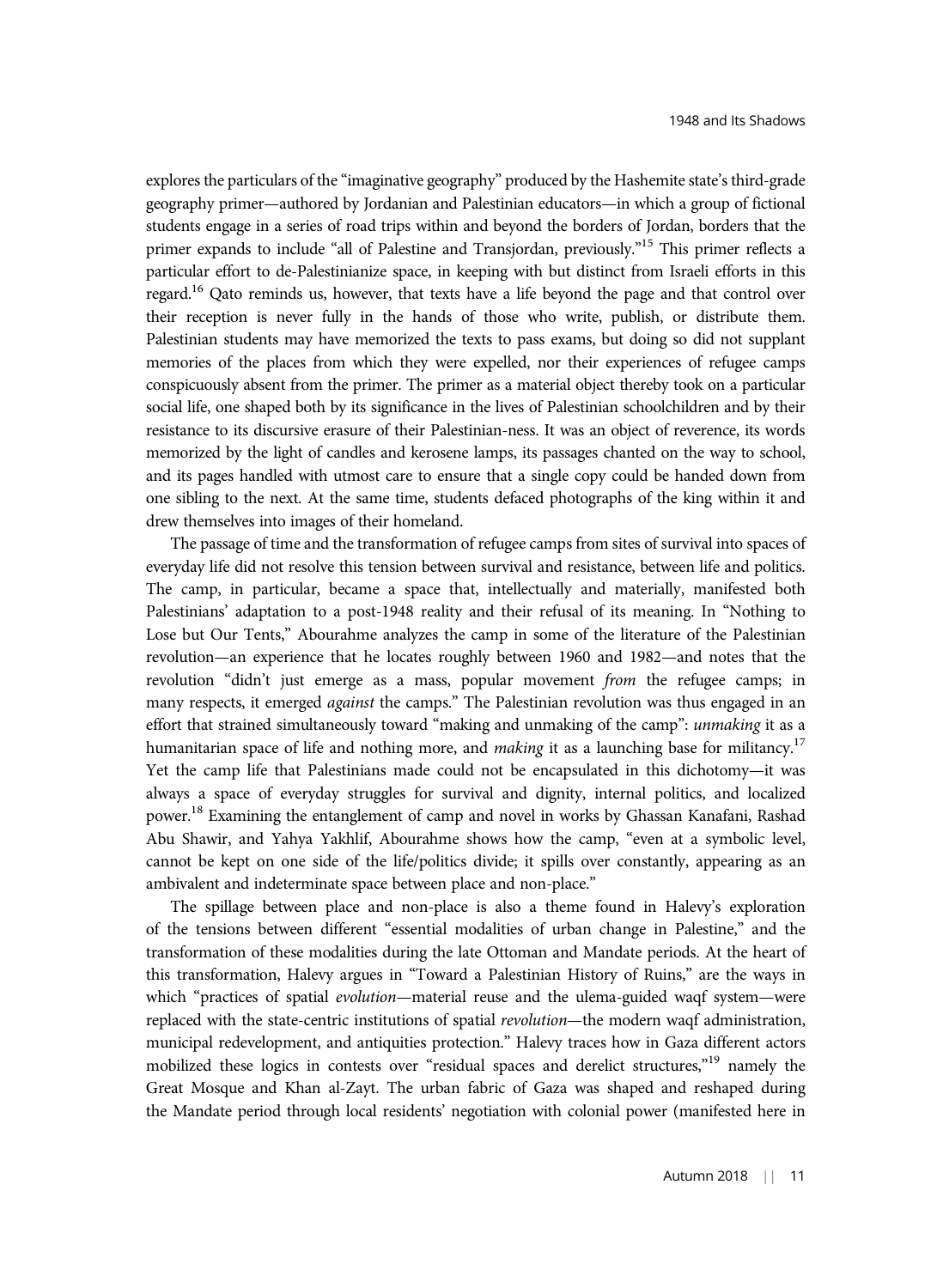explores the particulars of the "imaginative geography" produced by the Hashemite state's third-grade geography primer—authored by Jordanian and Palestinian educators—in which a group of fictional students engage in a series of road trips within and beyond the borders of Jordan, borders that the primer expands to include "all of Palestine and Transjordan, previously."<sup>15</sup> This primer reflects a particular effort to de-Palestinianize space, in keeping with but distinct from Israeli efforts in this regard.<sup>16</sup> Qato reminds us, however, that texts have a life beyond the page and that control over their reception is never fully in the hands of those who write, publish, or distribute them. Palestinian students may have memorized the texts to pass exams, but doing so did not supplant memories of the places from which they were expelled, nor their experiences of refugee camps conspicuously absent from the primer. The primer as a material object thereby took on a particular social life, one shaped both by its significance in the lives of Palestinian schoolchildren and by their resistance to its discursive erasure of their Palestinian-ness. It was an object of reverence, its words memorized by the light of candles and kerosene lamps, its passages chanted on the way to school, and its pages handled with utmost care to ensure that a single copy could be handed down from one sibling to the next. At the same time, students defaced photographs of the king within it and drew themselves into images of their homeland.

The passage of time and the transformation of refugee camps from sites of survival into spaces of everyday life did not resolve this tension between survival and resistance, between life and politics. The camp, in particular, became a space that, intellectually and materially, manifested both Palestinians' adaptation to a post-1948 reality and their refusal of its meaning. In "Nothing to Lose but Our Tents," Abourahme analyzes the camp in some of the literature of the Palestinian revolution—an experience that he locates roughly between 1960 and 1982—and notes that the revolution "didn't just emerge as a mass, popular movement *from* the refugee camps; in many respects, it emerged *against* the camps." The Palestinian revolution was thus engaged in an effort that strained simultaneously toward "making and unmaking of the camp": *unmaking* it as a humanitarian space of life and nothing more, and *making* it as a launching base for militancy.<sup>17</sup> Yet the camp life that Palestinians made could not be encapsulated in this dichotomy—it was always a space of everyday struggles for survival and dignity, internal politics, and localized power.18 Examining the entanglement of camp and novel in works by Ghassan Kanafani, Rashad Abu Shawir, and Yahya Yakhlif, Abourahme shows how the camp, "even at a symbolic level, cannot be kept on one side of the life/politics divide; it spills over constantly, appearing as an ambivalent and indeterminate space between place and non-place."

The spillage between place and non-place is also a theme found in Halevy's exploration of the tensions between different "essential modalities of urban change in Palestine," and the transformation of these modalities during the late Ottoman and Mandate periods. At the heart of this transformation, Halevy argues in "Toward a Palestinian History of Ruins," are the ways in which "practices of spatial *evolution*—material reuse and the ulema-guided waqf system—were replaced with the state-centric institutions of spatial *revolution*—the modern waqf administration, municipal redevelopment, and antiquities protection." Halevy traces how in Gaza different actors mobilized these logics in contests over "residual spaces and derelict structures,"<sup>19</sup> namely the Great Mosque and Khan al-Zayt. The urban fabric of Gaza was shaped and reshaped during the Mandate period through local residents' negotiation with colonial power (manifested here in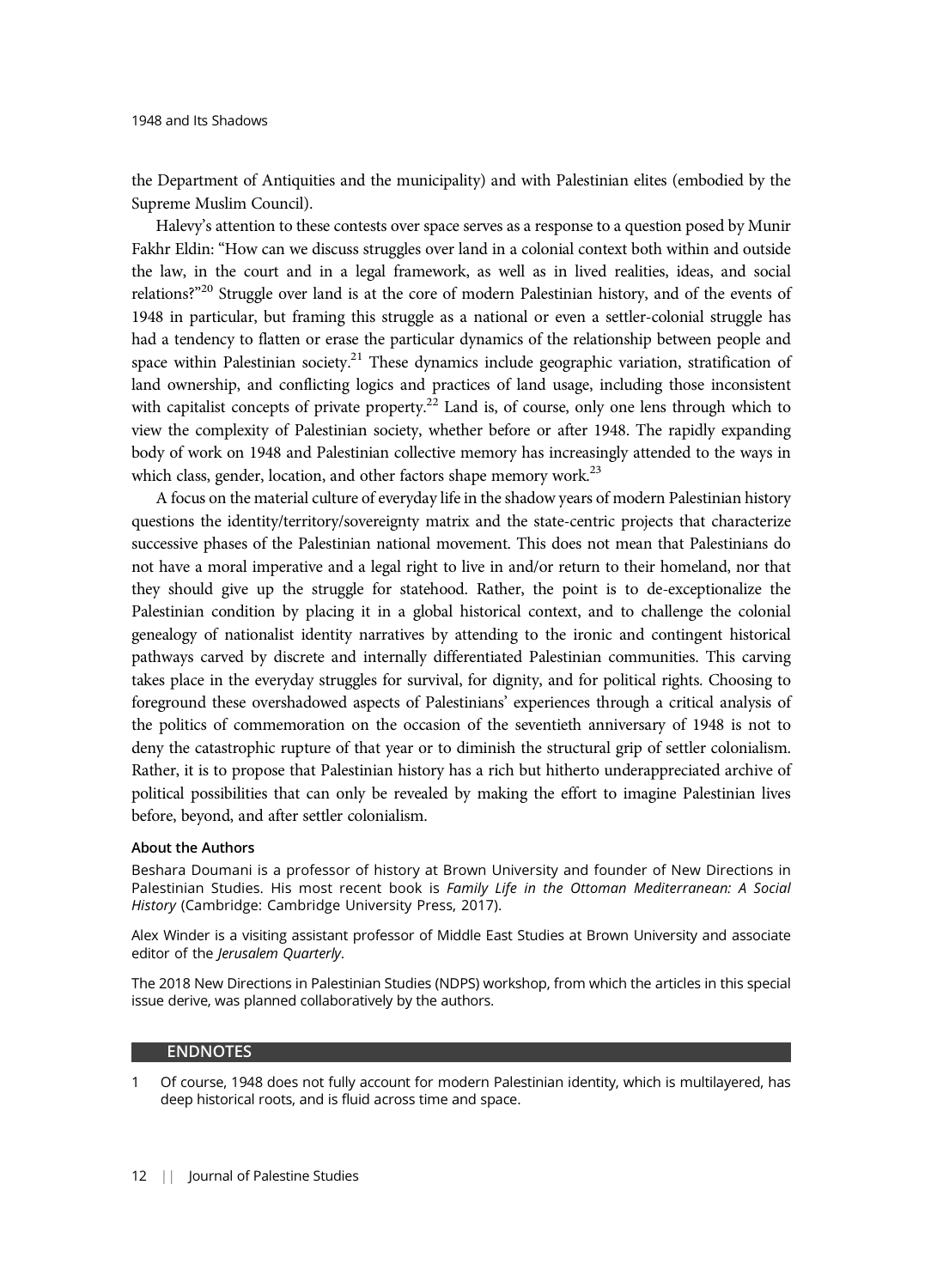the Department of Antiquities and the municipality) and with Palestinian elites (embodied by the Supreme Muslim Council).

Halevy's attention to these contests over space serves as a response to a question posed by Munir Fakhr Eldin: "How can we discuss struggles over land in a colonial context both within and outside the law, in the court and in a legal framework, as well as in lived realities, ideas, and social relations?"<sup>20</sup> Struggle over land is at the core of modern Palestinian history, and of the events of 1948 in particular, but framing this struggle as a national or even a settler-colonial struggle has had a tendency to flatten or erase the particular dynamics of the relationship between people and space within Palestinian society.<sup>21</sup> These dynamics include geographic variation, stratification of land ownership, and conflicting logics and practices of land usage, including those inconsistent with capitalist concepts of private property.<sup>22</sup> Land is, of course, only one lens through which to view the complexity of Palestinian society, whether before or after 1948. The rapidly expanding body of work on 1948 and Palestinian collective memory has increasingly attended to the ways in which class, gender, location, and other factors shape memory work. $^{23}$ 

A focus on the material culture of everyday life in the shadow years of modern Palestinian history questions the identity/territory/sovereignty matrix and the state-centric projects that characterize successive phases of the Palestinian national movement. This does not mean that Palestinians do not have a moral imperative and a legal right to live in and/or return to their homeland, nor that they should give up the struggle for statehood. Rather, the point is to de-exceptionalize the Palestinian condition by placing it in a global historical context, and to challenge the colonial genealogy of nationalist identity narratives by attending to the ironic and contingent historical pathways carved by discrete and internally differentiated Palestinian communities. This carving takes place in the everyday struggles for survival, for dignity, and for political rights. Choosing to foreground these overshadowed aspects of Palestinians' experiences through a critical analysis of the politics of commemoration on the occasion of the seventieth anniversary of 1948 is not to deny the catastrophic rupture of that year or to diminish the structural grip of settler colonialism. Rather, it is to propose that Palestinian history has a rich but hitherto underappreciated archive of political possibilities that can only be revealed by making the effort to imagine Palestinian lives before, beyond, and after settler colonialism.

## About the Authors

Beshara Doumani is a professor of history at Brown University and founder of New Directions in Palestinian Studies. His most recent book is Family Life in the Ottoman Mediterranean: A Social History (Cambridge: Cambridge University Press, 2017).

Alex Winder is a visiting assistant professor of Middle East Studies at Brown University and associate editor of the Jerusalem Quarterly.

The 2018 New Directions in Palestinian Studies (NDPS) workshop, from which the articles in this special issue derive, was planned collaboratively by the authors.

## ENDNOTES

Of course, 1948 does not fully account for modern Palestinian identity, which is multilayered, has deep historical roots, and is fluid across time and space.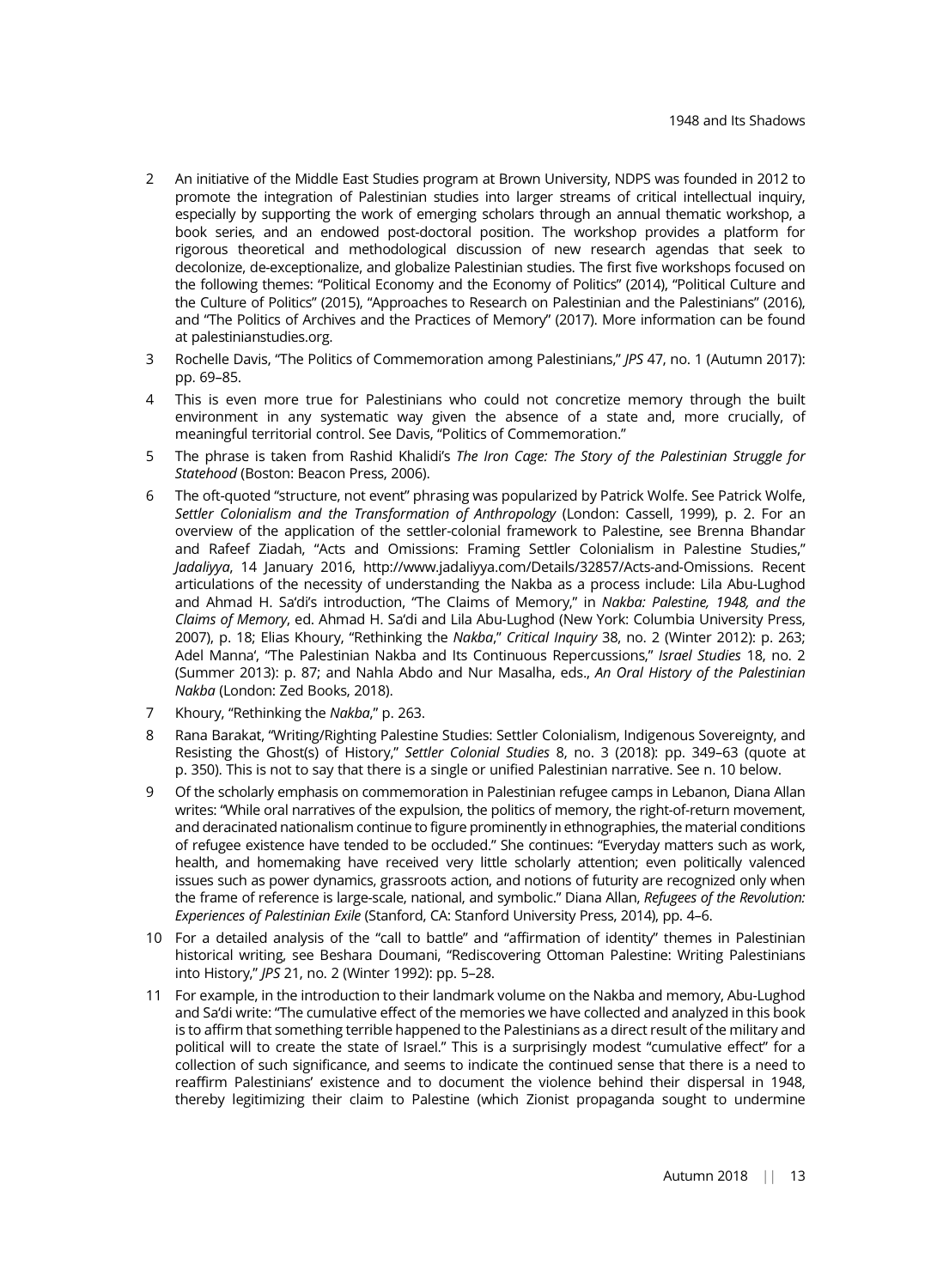- 2 An initiative of the Middle East Studies program at Brown University, NDPS was founded in 2012 to promote the integration of Palestinian studies into larger streams of critical intellectual inquiry, especially by supporting the work of emerging scholars through an annual thematic workshop, a book series, and an endowed post-doctoral position. The workshop provides a platform for rigorous theoretical and methodological discussion of new research agendas that seek to decolonize, de-exceptionalize, and globalize Palestinian studies. The first five workshops focused on the following themes: "Political Economy and the Economy of Politics" (2014), "Political Culture and the Culture of Politics" (2015), "Approaches to Research on Palestinian and the Palestinians" (2016), and "The Politics of Archives and the Practices of Memory" (2017). More information can be found at palestinianstudies.org.
- 3 Rochelle Davis, "The Politics of Commemoration among Palestinians," JPS 47, no. 1 (Autumn 2017): pp. 69–85.
- 4 This is even more true for Palestinians who could not concretize memory through the built environment in any systematic way given the absence of a state and, more crucially, of meaningful territorial control. See Davis, "Politics of Commemoration."
- 5 The phrase is taken from Rashid Khalidi's The Iron Cage: The Story of the Palestinian Struggle for Statehood (Boston: Beacon Press, 2006).
- 6 The oft-quoted "structure, not event" phrasing was popularized by Patrick Wolfe. See Patrick Wolfe, Settler Colonialism and the Transformation of Anthropology (London: Cassell, 1999), p. 2. For an overview of the application of the settler-colonial framework to Palestine, see Brenna Bhandar and Rafeef Ziadah, "Acts and Omissions: Framing Settler Colonialism in Palestine Studies," Jadaliyya, 14 January 2016, http://www.jadaliyya.com/Details/32857/Acts-and-Omissions. Recent articulations of the necessity of understanding the Nakba as a process include: Lila Abu-Lughod and Ahmad H. Sa'di's introduction, "The Claims of Memory," in Nakba: Palestine, 1948, and the Claims of Memory, ed. Ahmad H. Sa'di and Lila Abu-Lughod (New York: Columbia University Press, 2007), p. 18; Elias Khoury, "Rethinking the Nakba," Critical Inquiry 38, no. 2 (Winter 2012): p. 263; Adel Manna', "The Palestinian Nakba and Its Continuous Repercussions," Israel Studies 18, no. 2 (Summer 2013): p. 87; and Nahla Abdo and Nur Masalha, eds., An Oral History of the Palestinian Nakba (London: Zed Books, 2018).
- 7 Khoury, "Rethinking the Nakba," p. 263.
- 8 Rana Barakat, "Writing/Righting Palestine Studies: Settler Colonialism, Indigenous Sovereignty, and Resisting the Ghost(s) of History," Settler Colonial Studies 8, no. 3 (2018): pp. 349–63 (quote at p. 350). This is not to say that there is a single or unified Palestinian narrative. See n. 10 below.
- 9 Of the scholarly emphasis on commemoration in Palestinian refugee camps in Lebanon, Diana Allan writes: "While oral narratives of the expulsion, the politics of memory, the right-of-return movement, and deracinated nationalism continue to figure prominently in ethnographies, the material conditions of refugee existence have tended to be occluded." She continues: "Everyday matters such as work, health, and homemaking have received very little scholarly attention; even politically valenced issues such as power dynamics, grassroots action, and notions of futurity are recognized only when the frame of reference is large-scale, national, and symbolic." Diana Allan, Refugees of the Revolution: Experiences of Palestinian Exile (Stanford, CA: Stanford University Press, 2014), pp. 4–6.
- 10 For a detailed analysis of the "call to battle" and "affirmation of identity" themes in Palestinian historical writing, see Beshara Doumani, "Rediscovering Ottoman Palestine: Writing Palestinians into History," JPS 21, no. 2 (Winter 1992): pp. 5–28.
- 11 For example, in the introduction to their landmark volume on the Nakba and memory, Abu-Lughod and Sa'di write: "The cumulative effect of the memories we have collected and analyzed in this book is to affirm that something terrible happened to the Palestinians as a direct result of the military and political will to create the state of Israel." This is a surprisingly modest "cumulative effect" for a collection of such significance, and seems to indicate the continued sense that there is a need to reaffirm Palestinians' existence and to document the violence behind their dispersal in 1948, thereby legitimizing their claim to Palestine (which Zionist propaganda sought to undermine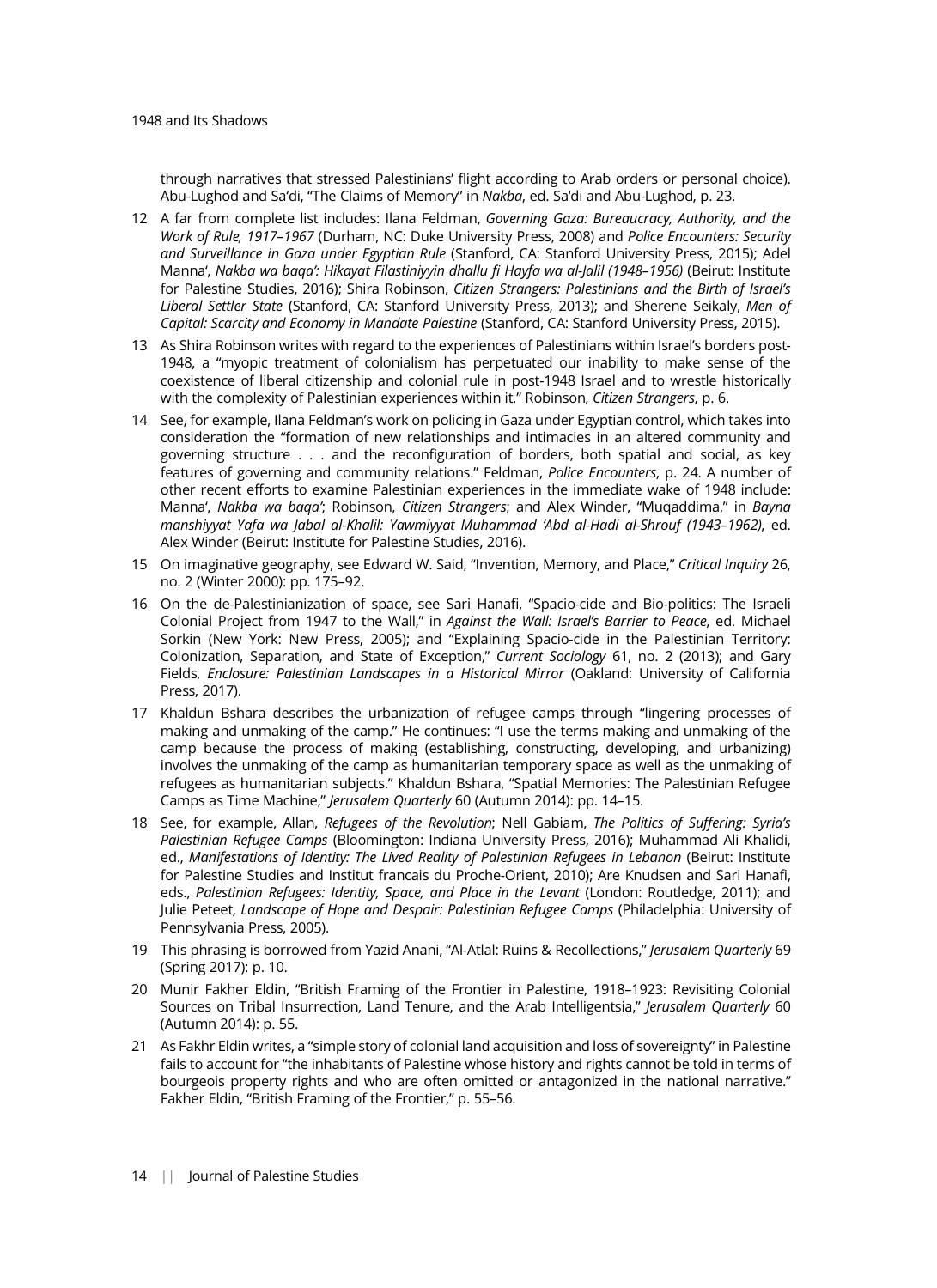through narratives that stressed Palestinians' flight according to Arab orders or personal choice). Abu-Lughod and Sa'di, "The Claims of Memory" in Nakba, ed. Sa'di and Abu-Lughod, p. 23.

- 12 A far from complete list includes: Ilana Feldman, Governing Gaza: Bureaucracy, Authority, and the Work of Rule, 1917–1967 (Durham, NC: Duke University Press, 2008) and Police Encounters: Security and Surveillance in Gaza under Egyptian Rule (Stanford, CA: Stanford University Press, 2015); Adel Manna', Nakba wa baqa': Hikayat Filastiniyyin dhallu fi Hayfa wa al-Jalil (1948–1956) (Beirut: Institute for Palestine Studies, 2016); Shira Robinson, Citizen Strangers: Palestinians and the Birth of Israel's Liberal Settler State (Stanford, CA: Stanford University Press, 2013); and Sherene Seikaly, Men of Capital: Scarcity and Economy in Mandate Palestine (Stanford, CA: Stanford University Press, 2015).
- 13 As Shira Robinson writes with regard to the experiences of Palestinians within Israel's borders post-1948, a "myopic treatment of colonialism has perpetuated our inability to make sense of the coexistence of liberal citizenship and colonial rule in post-1948 Israel and to wrestle historically with the complexity of Palestinian experiences within it." Robinson, Citizen Strangers, p. 6.
- 14 See, for example, Ilana Feldman's work on policing in Gaza under Egyptian control, which takes into consideration the "formation of new relationships and intimacies in an altered community and governing structure . . . and the reconfiguration of borders, both spatial and social, as key features of governing and community relations." Feldman, Police Encounters, p. 24. A number of other recent efforts to examine Palestinian experiences in the immediate wake of 1948 include: Manna', Nakba wa baqa'; Robinson, Citizen Strangers; and Alex Winder, "Muqaddima," in Bayna manshiyyat Yafa wa Jabal al-Khalil: Yawmiyyat Muhammad 'Abd al-Hadi al-Shrouf (1943–1962), ed. Alex Winder (Beirut: Institute for Palestine Studies, 2016).
- 15 On imaginative geography, see Edward W. Said, "Invention, Memory, and Place," Critical Inquiry 26, no. 2 (Winter 2000): pp. 175–92.
- 16 On the de-Palestinianization of space, see Sari Hanafi, "Spacio-cide and Bio-politics: The Israeli Colonial Project from 1947 to the Wall," in Against the Wall: Israel's Barrier to Peace, ed. Michael Sorkin (New York: New Press, 2005); and "Explaining Spacio-cide in the Palestinian Territory: Colonization, Separation, and State of Exception," Current Sociology 61, no. 2 (2013); and Gary Fields, Enclosure: Palestinian Landscapes in a Historical Mirror (Oakland: University of California Press, 2017).
- 17 Khaldun Bshara describes the urbanization of refugee camps through "lingering processes of making and unmaking of the camp." He continues: "I use the terms making and unmaking of the camp because the process of making (establishing, constructing, developing, and urbanizing) involves the unmaking of the camp as humanitarian temporary space as well as the unmaking of refugees as humanitarian subjects." Khaldun Bshara, "Spatial Memories: The Palestinian Refugee Camps as Time Machine," Jerusalem Quarterly 60 (Autumn 2014): pp. 14–15.
- 18 See, for example, Allan, Refugees of the Revolution; Nell Gabiam, The Politics of Suffering: Syria's Palestinian Refugee Camps (Bloomington: Indiana University Press, 2016); Muhammad Ali Khalidi, ed., Manifestations of Identity: The Lived Reality of Palestinian Refugees in Lebanon (Beirut: Institute for Palestine Studies and Institut francais du Proche-Orient, 2010); Are Knudsen and Sari Hanafi, eds., Palestinian Refugees: Identity, Space, and Place in the Levant (London: Routledge, 2011); and Julie Peteet, Landscape of Hope and Despair: Palestinian Refugee Camps (Philadelphia: University of Pennsylvania Press, 2005).
- 19 This phrasing is borrowed from Yazid Anani, "Al-Atlal: Ruins & Recollections," Jerusalem Quarterly 69 (Spring 2017): p. 10.
- 20 Munir Fakher Eldin, "British Framing of the Frontier in Palestine, 1918–1923: Revisiting Colonial Sources on Tribal Insurrection, Land Tenure, and the Arab Intelligentsia," Jerusalem Quarterly 60 (Autumn 2014): p. 55.
- 21 As Fakhr Eldin writes, a "simple story of colonial land acquisition and loss of sovereignty" in Palestine fails to account for "the inhabitants of Palestine whose history and rights cannot be told in terms of bourgeois property rights and who are often omitted or antagonized in the national narrative." Fakher Eldin, "British Framing of the Frontier," p. 55–56.